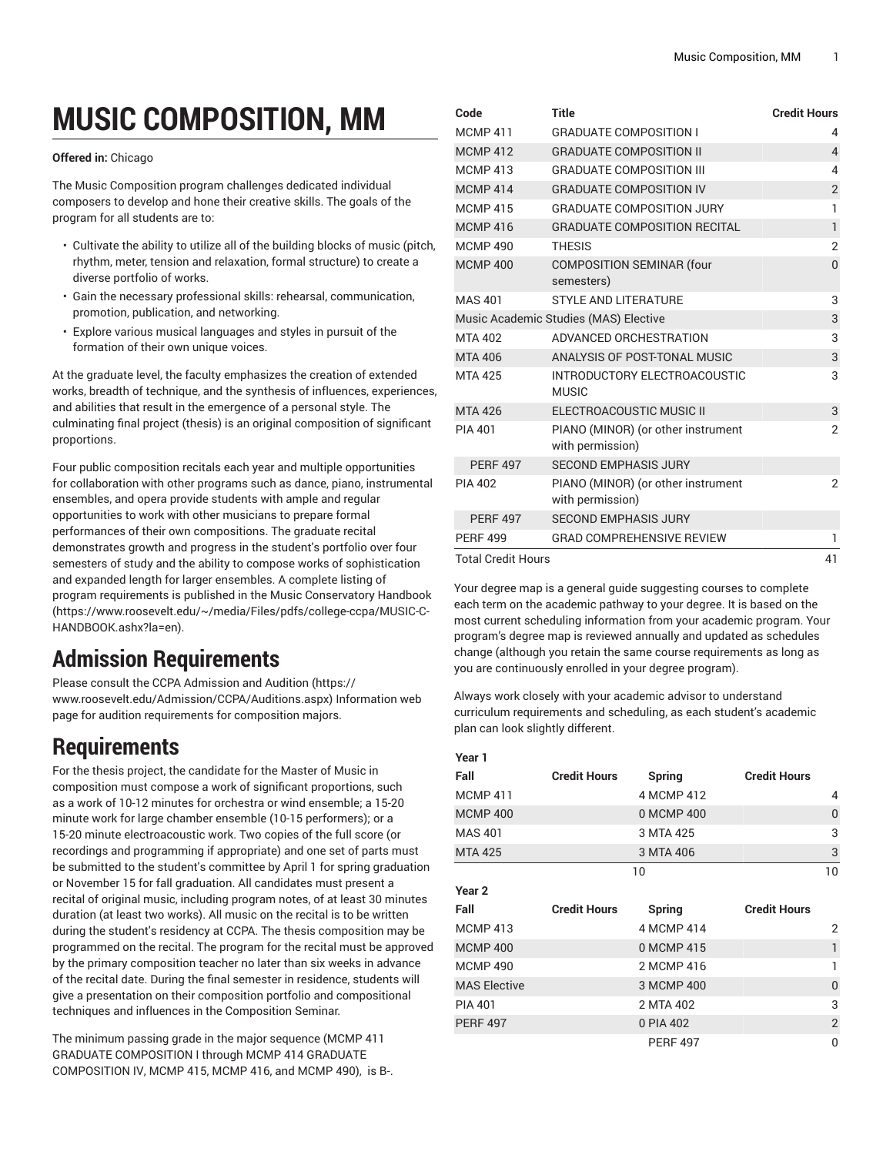# **MUSIC COMPOSITION, MM**

#### **Offered in:** Chicago

The Music Composition program challenges dedicated individual composers to develop and hone their creative skills. The goals of the program for all students are to:

- Cultivate the ability to utilize all of the building blocks of music (pitch, rhythm, meter, tension and relaxation, formal structure) to create a diverse portfolio of works.
- Gain the necessary professional skills: rehearsal, communication, promotion, publication, and networking.
- Explore various musical languages and styles in pursuit of the formation of their own unique voices.

At the graduate level, the faculty emphasizes the creation of extended works, breadth of technique, and the synthesis of influences, experiences, and abilities that result in the emergence of a personal style. The culminating final project (thesis) is an original composition of significant proportions.

Four public composition recitals each year and multiple opportunities for collaboration with other programs such as dance, piano, instrumental ensembles, and opera provide students with ample and regular opportunities to work with other musicians to prepare formal performances of their own compositions. The graduate recital demonstrates growth and progress in the student's portfolio over four semesters of study and the ability to compose works of sophistication and expanded length for larger ensembles. A complete listing of program requirements is published in the Music [Conservatory](https://www.roosevelt.edu/~/media/Files/pdfs/college-ccpa/MUSIC-C-HANDBOOK.ashx?la=en) Handbook ([https://www.roosevelt.edu/~/media/Files/pdfs/college-ccpa/MUSIC-C-](https://www.roosevelt.edu/~/media/Files/pdfs/college-ccpa/MUSIC-C-HANDBOOK.ashx?la=en)[HANDBOOK.ashx?la=en\)](https://www.roosevelt.edu/~/media/Files/pdfs/college-ccpa/MUSIC-C-HANDBOOK.ashx?la=en).

## **Admission Requirements**

Please consult the CCPA [Admission](https://www.roosevelt.edu/Admission/CCPA/Auditions.aspx) and Audition ([https://](https://www.roosevelt.edu/Admission/CCPA/Auditions.aspx) [www.roosevelt.edu/Admission/CCPA/Auditions.aspx\)](https://www.roosevelt.edu/Admission/CCPA/Auditions.aspx) Information web page for audition requirements for composition majors.

## **Requirements**

For the thesis project, the candidate for the Master of Music in composition must compose a work of significant proportions, such as a work of 10-12 minutes for orchestra or wind ensemble; a 15-20 minute work for large chamber ensemble (10-15 performers); or a 15-20 minute electroacoustic work. Two copies of the full score (or recordings and programming if appropriate) and one set of parts must be submitted to the student's committee by April 1 for spring graduation or November 15 for fall graduation. All candidates must present a recital of original music, including program notes, of at least 30 minutes duration (at least two works). All music on the recital is to be written during the student's residency at CCPA. The thesis composition may be programmed on the recital. The program for the recital must be approved by the primary composition teacher no later than six weeks in advance of the recital date. During the final semester in residence, students will give a presentation on their composition portfolio and compositional techniques and influences in the Composition Seminar.

The minimum passing grade in the major sequence (MCMP 411 GRADUATE COMPOSITION I through MCMP 414 GRADUATE COMPOSITION IV, MCMP 415, MCMP 416, and MCMP 490), is B-.

| Code               | <b>Title</b>                                           | <b>Credit Hours</b> |
|--------------------|--------------------------------------------------------|---------------------|
| <b>MCMP 411</b>    | <b>GRADUATE COMPOSITION I</b>                          | 4                   |
| <b>MCMP 412</b>    | <b>GRADUATE COMPOSITION II</b>                         | $\overline{4}$      |
| <b>MCMP413</b>     | <b>GRADUATE COMPOSITION III</b>                        | 4                   |
| <b>MCMP414</b>     | <b>GRADUATE COMPOSITION IV</b>                         | $\overline{2}$      |
| <b>MCMP415</b>     | <b>GRADUATE COMPOSITION JURY</b>                       | 1                   |
| <b>MCMP416</b>     | <b>GRADUATE COMPOSITION RECITAL</b>                    | $\mathbf{1}$        |
| <b>MCMP 490</b>    | <b>THESIS</b>                                          | $\overline{2}$      |
| <b>MCMP 400</b>    | <b>COMPOSITION SEMINAR (four</b><br>semesters)         | $\overline{0}$      |
| <b>MAS 401</b>     | STYLE AND LITERATURE                                   | 3                   |
|                    | Music Academic Studies (MAS) Elective                  | 3                   |
| MTA 402            | ADVANCED ORCHESTRATION                                 | 3                   |
| <b>MTA 406</b>     | ANALYSIS OF POST-TONAL MUSIC                           | 3                   |
| <b>MTA 425</b>     | INTRODUCTORY ELECTROACOUSTIC<br><b>MUSIC</b>           | 3                   |
| <b>MTA 426</b>     | ELECTROACOUSTIC MUSIC II                               | 3                   |
| <b>PIA 401</b>     | PIANO (MINOR) (or other instrument<br>with permission) | $\overline{2}$      |
| <b>PERF 497</b>    | <b>SECOND EMPHASIS JURY</b>                            |                     |
| <b>PIA 402</b>     | PIANO (MINOR) (or other instrument<br>with permission) | $\overline{2}$      |
| <b>PERF 497</b>    | <b>SECOND EMPHASIS JURY</b>                            |                     |
| <b>PERF 499</b>    | <b>GRAD COMPREHENSIVE REVIEW</b>                       | 1                   |
| Total Credit Hours |                                                        | 41                  |

Your degree map is a general guide suggesting courses to complete each term on the academic pathway to your degree. It is based on the most current scheduling information from your academic program. Your program's degree map is reviewed annually and updated as schedules change (although you retain the same course requirements as long as you are continuously enrolled in your degree program).

Always work closely with your academic advisor to understand curriculum requirements and scheduling, as each student's academic plan can look slightly different.

#### **Year 1**

| Fall                | <b>Credit Hours</b> | <b>Spring</b>   | <b>Credit Hours</b> |                |
|---------------------|---------------------|-----------------|---------------------|----------------|
| MCMP 411            |                     | 4 MCMP 412      |                     | 4              |
| <b>MCMP 400</b>     |                     | 0 MCMP 400      |                     | $\overline{0}$ |
| MAS 401             |                     | 3 MTA 425       |                     | 3              |
| <b>MTA 425</b>      |                     | 3 MTA 406       |                     | 3              |
|                     |                     | 10              |                     | 10             |
| Year 2              |                     |                 |                     |                |
| Fall                | <b>Credit Hours</b> | <b>Spring</b>   | <b>Credit Hours</b> |                |
| MCMP 413            |                     | 4 MCMP 414      |                     | 2              |
| <b>MCMP 400</b>     |                     | 0 MCMP 415      |                     | $\mathbf{1}$   |
| <b>MCMP 490</b>     |                     | 2 MCMP 416      |                     | 1              |
| <b>MAS Elective</b> |                     | 3 MCMP 400      |                     | $\mathbf{0}$   |
| PIA 401             |                     | 2 MTA 402       |                     | 3              |
| <b>PERF 497</b>     |                     | 0 PIA 402       |                     | $\overline{2}$ |
|                     |                     | <b>PERF 497</b> |                     | 0              |